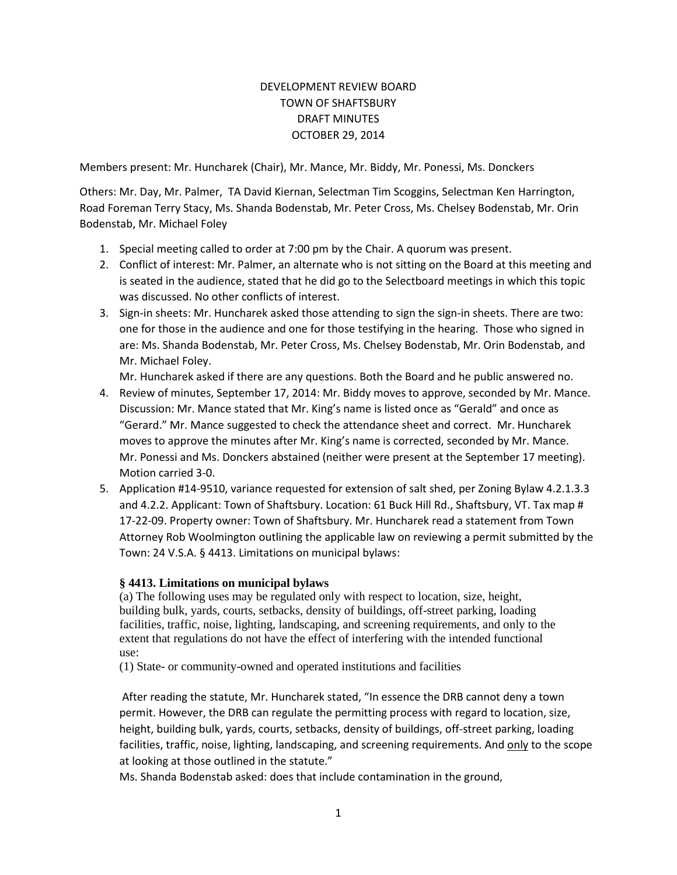## DEVELOPMENT REVIEW BOARD TOWN OF SHAFTSBURY DRAFT MINUTES OCTOBER 29, 2014

Members present: Mr. Huncharek (Chair), Mr. Mance, Mr. Biddy, Mr. Ponessi, Ms. Donckers

Others: Mr. Day, Mr. Palmer, TA David Kiernan, Selectman Tim Scoggins, Selectman Ken Harrington, Road Foreman Terry Stacy, Ms. Shanda Bodenstab, Mr. Peter Cross, Ms. Chelsey Bodenstab, Mr. Orin Bodenstab, Mr. Michael Foley

- 1. Special meeting called to order at 7:00 pm by the Chair. A quorum was present.
- 2. Conflict of interest: Mr. Palmer, an alternate who is not sitting on the Board at this meeting and is seated in the audience, stated that he did go to the Selectboard meetings in which this topic was discussed. No other conflicts of interest.
- 3. Sign-in sheets: Mr. Huncharek asked those attending to sign the sign-in sheets. There are two: one for those in the audience and one for those testifying in the hearing. Those who signed in are: Ms. Shanda Bodenstab, Mr. Peter Cross, Ms. Chelsey Bodenstab, Mr. Orin Bodenstab, and Mr. Michael Foley.

Mr. Huncharek asked if there are any questions. Both the Board and he public answered no.

- 4. Review of minutes, September 17, 2014: Mr. Biddy moves to approve, seconded by Mr. Mance. Discussion: Mr. Mance stated that Mr. King's name is listed once as "Gerald" and once as "Gerard." Mr. Mance suggested to check the attendance sheet and correct. Mr. Huncharek moves to approve the minutes after Mr. King's name is corrected, seconded by Mr. Mance. Mr. Ponessi and Ms. Donckers abstained (neither were present at the September 17 meeting). Motion carried 3-0.
- 5. Application #14-9510, variance requested for extension of salt shed, per Zoning Bylaw 4.2.1.3.3 and 4.2.2. Applicant: Town of Shaftsbury. Location: 61 Buck Hill Rd., Shaftsbury, VT. Tax map # 17-22-09. Property owner: Town of Shaftsbury. Mr. Huncharek read a statement from Town Attorney Rob Woolmington outlining the applicable law on reviewing a permit submitted by the Town: 24 V.S.A. § 4413. Limitations on municipal bylaws:

## **§ 4413. Limitations on municipal bylaws**

(a) The following uses may be regulated only with respect to location, size, height, building bulk, yards, courts, setbacks, density of buildings, off-street parking, loading facilities, traffic, noise, lighting, landscaping, and screening requirements, and only to the extent that regulations do not have the effect of interfering with the intended functional use:

(1) State- or community-owned and operated institutions and facilities

After reading the statute, Mr. Huncharek stated, "In essence the DRB cannot deny a town permit. However, the DRB can regulate the permitting process with regard to location, size, height, building bulk, yards, courts, setbacks, density of buildings, off-street parking, loading facilities, traffic, noise, lighting, landscaping, and screening requirements. And only to the scope at looking at those outlined in the statute."

Ms. Shanda Bodenstab asked: does that include contamination in the ground,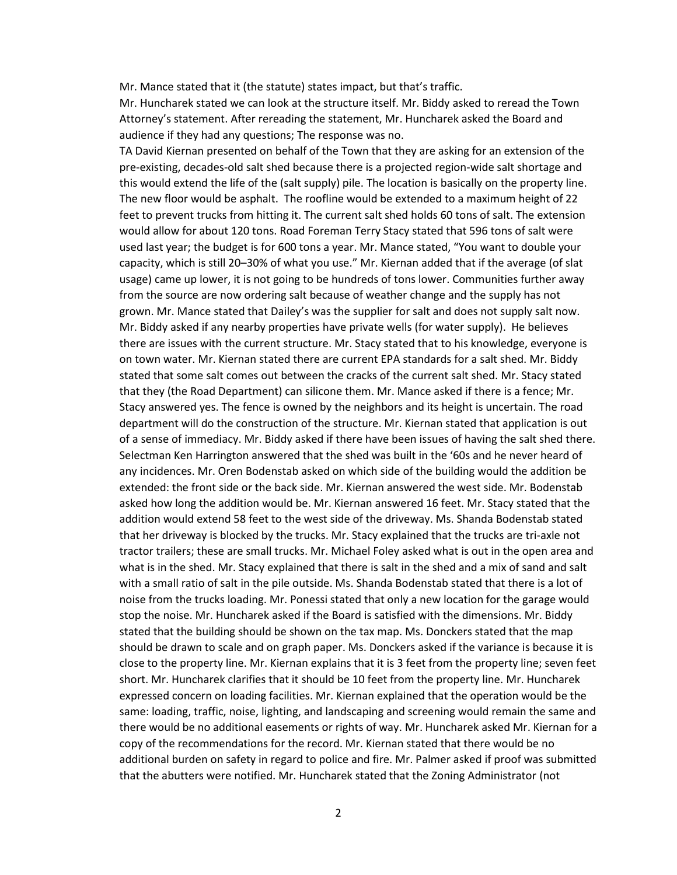Mr. Mance stated that it (the statute) states impact, but that's traffic.

Mr. Huncharek stated we can look at the structure itself. Mr. Biddy asked to reread the Town Attorney's statement. After rereading the statement, Mr. Huncharek asked the Board and audience if they had any questions; The response was no.

TA David Kiernan presented on behalf of the Town that they are asking for an extension of the pre-existing, decades-old salt shed because there is a projected region-wide salt shortage and this would extend the life of the (salt supply) pile. The location is basically on the property line. The new floor would be asphalt. The roofline would be extended to a maximum height of 22 feet to prevent trucks from hitting it. The current salt shed holds 60 tons of salt. The extension would allow for about 120 tons. Road Foreman Terry Stacy stated that 596 tons of salt were used last year; the budget is for 600 tons a year. Mr. Mance stated, "You want to double your capacity, which is still 20–30% of what you use." Mr. Kiernan added that if the average (of slat usage) came up lower, it is not going to be hundreds of tons lower. Communities further away from the source are now ordering salt because of weather change and the supply has not grown. Mr. Mance stated that Dailey's was the supplier for salt and does not supply salt now. Mr. Biddy asked if any nearby properties have private wells (for water supply). He believes there are issues with the current structure. Mr. Stacy stated that to his knowledge, everyone is on town water. Mr. Kiernan stated there are current EPA standards for a salt shed. Mr. Biddy stated that some salt comes out between the cracks of the current salt shed. Mr. Stacy stated that they (the Road Department) can silicone them. Mr. Mance asked if there is a fence; Mr. Stacy answered yes. The fence is owned by the neighbors and its height is uncertain. The road department will do the construction of the structure. Mr. Kiernan stated that application is out of a sense of immediacy. Mr. Biddy asked if there have been issues of having the salt shed there. Selectman Ken Harrington answered that the shed was built in the '60s and he never heard of any incidences. Mr. Oren Bodenstab asked on which side of the building would the addition be extended: the front side or the back side. Mr. Kiernan answered the west side. Mr. Bodenstab asked how long the addition would be. Mr. Kiernan answered 16 feet. Mr. Stacy stated that the addition would extend 58 feet to the west side of the driveway. Ms. Shanda Bodenstab stated that her driveway is blocked by the trucks. Mr. Stacy explained that the trucks are tri-axle not tractor trailers; these are small trucks. Mr. Michael Foley asked what is out in the open area and what is in the shed. Mr. Stacy explained that there is salt in the shed and a mix of sand and salt with a small ratio of salt in the pile outside. Ms. Shanda Bodenstab stated that there is a lot of noise from the trucks loading. Mr. Ponessi stated that only a new location for the garage would stop the noise. Mr. Huncharek asked if the Board is satisfied with the dimensions. Mr. Biddy stated that the building should be shown on the tax map. Ms. Donckers stated that the map should be drawn to scale and on graph paper. Ms. Donckers asked if the variance is because it is close to the property line. Mr. Kiernan explains that it is 3 feet from the property line; seven feet short. Mr. Huncharek clarifies that it should be 10 feet from the property line. Mr. Huncharek expressed concern on loading facilities. Mr. Kiernan explained that the operation would be the same: loading, traffic, noise, lighting, and landscaping and screening would remain the same and there would be no additional easements or rights of way. Mr. Huncharek asked Mr. Kiernan for a copy of the recommendations for the record. Mr. Kiernan stated that there would be no additional burden on safety in regard to police and fire. Mr. Palmer asked if proof was submitted that the abutters were notified. Mr. Huncharek stated that the Zoning Administrator (not